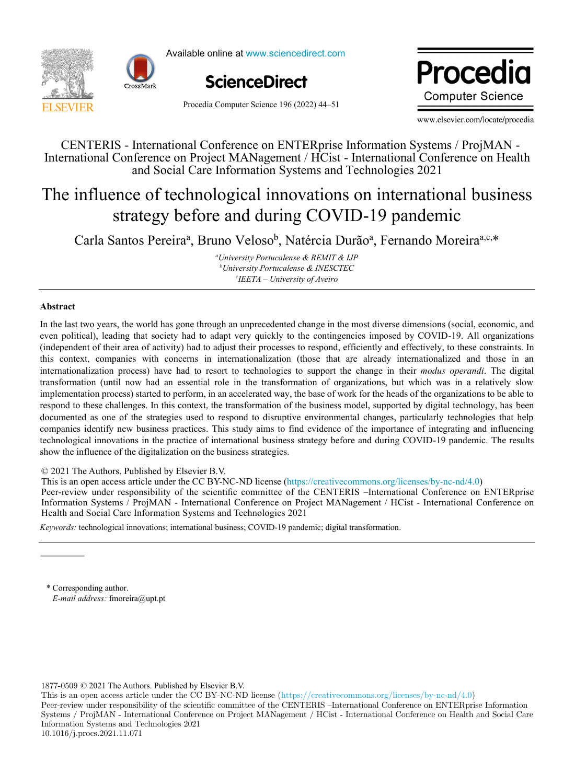



Available online at www.sciencedirect.com



Procedia Computer Science 196 (2022) 44–51

Droopolie ww.edio **Computer Science** 

www.elsevier.com/locate/procedia

CENTERIS - International Conference on ENTERprise Information Systems / ProjMAN -International Conference on Project MANagement / HCist - International Conference on Health and Social Care Information Systems and Technologies 2021

# The influence of technological innovations on international business strategy before and during COVID-19 pandemic The influence of technological innovations on international business strategy before and during COVID-19 pandemic

Carla Santos Pereiraan<br>Carla Santos Velosobartos Pereiraan Carla Santos Pereira<sup>a</sup>, Bruno Veloso<sup>b</sup>, Natércia Durão<sup>a</sup>, Fernando Moreira<sup>a,c,\*</sup>

*University Portucalense & REMIT & IJP b University Portucalense & INESCTEC a University Portucalense & REMIT & IJP b*University Portucalense & INESCTEC *c IEETA – University of Aveiro*

## **Abstract**

In the last two years, the world has gone through an unprecedented change in the most diverse dimensions (social, economic, and even political), leading that society had to adapt very quickly to the contingencies imposed by COVID-19. All organizations (independent of their area of activity) had to adjust their processes to respond, efficiently and effectively, to these constraints. In this context, companies with concerns in internationalization (those that are already internationalized and those in an internationalization process) have had to resort to technologies to support the change in their modus operandi. The digital transformation (until now had an essential role in the transformation of organizations, but which was in a relatively slow implementation process) started to perform, in an accelerated way, the base of work for the heads of the organizations to be able to respond to these challenges. In this context, the transformation of the business model, supported by digital technology, has been documented as one of the strategies used to respond to disruptive environmental changes, particularly technologies that help companies identify new business practices. This study aims to find evidence of the importance of integrating and influencing technological innovations in the practice of international business strategy before and during COVID-19 pandemic. The results show the influence of the digitalization on the business strategies.

© 2021 The Authors. Published by Elsevier B.V. © 2020 The Authors. Published by Elsevier B.V.

 $\&$  2021 The Additions. Fubrished by Eisevier B.V.<br>This is an open access article under the CC BY-NC-ND license (https://creativecommons.org/licenses/by-nc-nd/4.0) Peer-review under responsibility of the scientific committee of the CENTERIS –International Conference on ENTERprise Information Systems / ProjMAN - International Conference on Project MANagement / HCist - International Conference on

Health and Social Care Information Systems and Technologies 2021 *Keywords:* technological innovations; international business; COVID-19 pandemic; digital transformation.

\* Corresponding author. E-mail address: fmoreira@upt.pt

1877-0509 © 2021 The Authors. Published by Elsevier B.V.

This is an open access article under the CC BY-NC-ND license (https://creativecommons.org/licenses/by-nc-nd/4.0) Peer-review under responsibility of the scientific committee of the CENTERIS –International Conference on ENTERprise Information Systems / ProjMAN - International Conference on Project MANagement / HCist - International Conference on Health and Social Care Information Systems and Technologies 2021 10.1016/j.procs.2021.11.071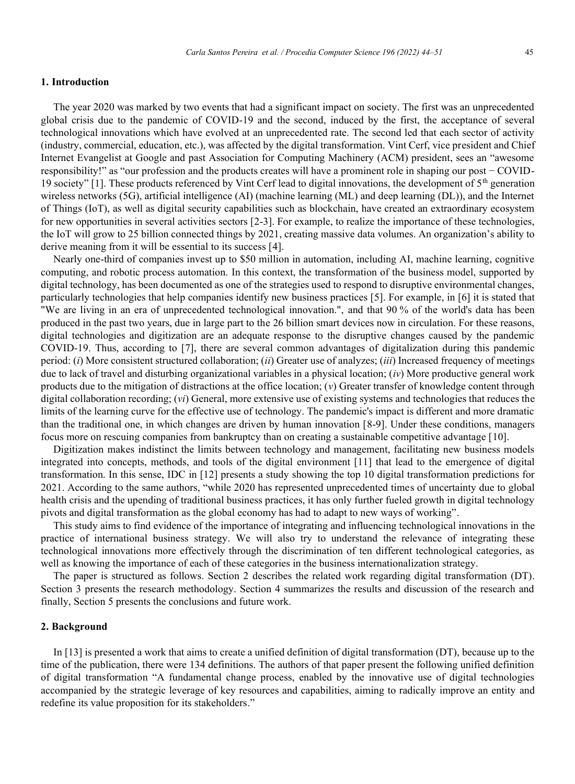## **1. Introduction**

The year 2020 was marked by two events that had a significant impact on society. The first was an unprecedented global crisis due to the pandemic of COVID-19 and the second, induced by the first, the acceptance of several technological innovations which have evolved at an unprecedented rate. The second led that each sector of activity (industry, commercial, education, etc.), was affected by the digital transformation. Vint Cerf, vice president and Chief Internet Evangelist at Google and past Association for Computing Machinery (ACM) president, sees an "awesome responsibility!" as "our profession and the products creates will have a prominent role in shaping our post − COVID-19 society" [1]. These products referenced by Vint Cerf lead to digital innovations, the development of  $5<sup>th</sup>$  generation wireless networks (5G), artificial intelligence (AI) (machine learning (ML) and deep learning (DL)), and the Internet of Things (IoT), as well as digital security capabilities such as blockchain, have created an extraordinary ecosystem for new opportunities in several activities sectors [2-3]. For example, to realize the importance of these technologies, the IoT will grow to 25 billion connected things by 2021, creating massive data volumes. An organization's ability to derive meaning from it will be essential to its success [4].

Nearly one-third of companies invest up to \$50 million in automation, including AI, machine learning, cognitive computing, and robotic process automation. In this context, the transformation of the business model, supported by digital technology, has been documented as one of the strategies used to respond to disruptive environmental changes, particularly technologies that help companies identify new business practices [5]. For example, in [6] it is stated that "We are living in an era of unprecedented technological innovation.", and that 90 % of the world's data has been produced in the past two years, due in large part to the 26 billion smart devices now in circulation. For these reasons, digital technologies and digitization are an adequate response to the disruptive changes caused by the pandemic COVID-19. Thus, according to [7], there are several common advantages of digitalization during this pandemic period: (*i*) More consistent structured collaboration; (*ii*) Greater use of analyzes; (*iii*) Increased frequency of meetings due to lack of travel and disturbing organizational variables in a physical location; (*iv*) More productive general work products due to the mitigation of distractions at the office location; (*v*) Greater transfer of knowledge content through digital collaboration recording; (*vi*) General, more extensive use of existing systems and technologies that reduces the limits of the learning curve for the effective use of technology. The pandemic's impact is different and more dramatic than the traditional one, in which changes are driven by human innovation [8-9]. Under these conditions, managers focus more on rescuing companies from bankruptcy than on creating a sustainable competitive advantage [10].

Digitization makes indistinct the limits between technology and management, facilitating new business models integrated into concepts, methods, and tools of the digital environment [11] that lead to the emergence of digital transformation. In this sense, IDC in [12] presents a study showing the top 10 digital transformation predictions for 2021. According to the same authors, "while 2020 has represented unprecedented times of uncertainty due to global health crisis and the upending of traditional business practices, it has only further fueled growth in digital technology pivots and digital transformation as the global economy has had to adapt to new ways of working".

This study aims to find evidence of the importance of integrating and influencing technological innovations in the practice of international business strategy. We will also try to understand the relevance of integrating these technological innovations more effectively through the discrimination of ten different technological categories, as well as knowing the importance of each of these categories in the business internationalization strategy.

The paper is structured as follows. Section 2 describes the related work regarding digital transformation (DT). Section 3 presents the research methodology. Section 4 summarizes the results and discussion of the research and finally, Section 5 presents the conclusions and future work.

## **2. Background**

In [13] is presented a work that aims to create a unified definition of digital transformation (DT), because up to the time of the publication, there were 134 definitions. The authors of that paper present the following unified definition of digital transformation "A fundamental change process, enabled by the innovative use of digital technologies accompanied by the strategic leverage of key resources and capabilities, aiming to radically improve an entity and redefine its value proposition for its stakeholders."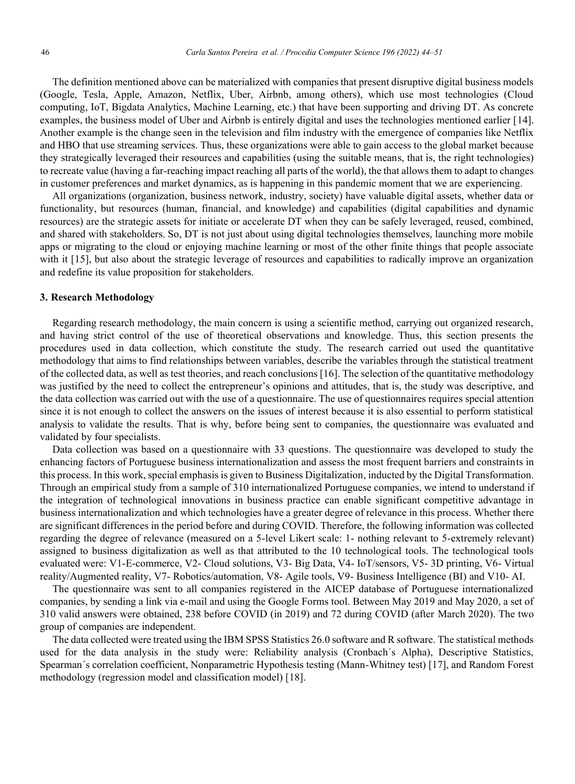The definition mentioned above can be materialized with companies that present disruptive digital business models (Google, Tesla, Apple, Amazon, Netflix, Uber, Airbnb, among others), which use most technologies (Cloud computing, IoT, Bigdata Analytics, Machine Learning, etc.) that have been supporting and driving DT. As concrete examples, the business model of Uber and Airbnb is entirely digital and uses the technologies mentioned earlier [14]. Another example is the change seen in the television and film industry with the emergence of companies like Netflix and HBO that use streaming services. Thus, these organizations were able to gain access to the global market because they strategically leveraged their resources and capabilities (using the suitable means, that is, the right technologies) to recreate value (having a far-reaching impact reaching all parts of the world), the that allows them to adapt to changes in customer preferences and market dynamics, as is happening in this pandemic moment that we are experiencing.

All organizations (organization, business network, industry, society) have valuable digital assets, whether data or functionality, but resources (human, financial, and knowledge) and capabilities (digital capabilities and dynamic resources) are the strategic assets for initiate or accelerate DT when they can be safely leveraged, reused, combined, and shared with stakeholders. So, DT is not just about using digital technologies themselves, launching more mobile apps or migrating to the cloud or enjoying machine learning or most of the other finite things that people associate with it [15], but also about the strategic leverage of resources and capabilities to radically improve an organization and redefine its value proposition for stakeholders.

## **3. Research Methodology**

Regarding research methodology, the main concern is using a scientific method, carrying out organized research, and having strict control of the use of theoretical observations and knowledge. Thus, this section presents the procedures used in data collection, which constitute the study. The research carried out used the quantitative methodology that aims to find relationships between variables, describe the variables through the statistical treatment of the collected data, as well as test theories, and reach conclusions [16]. The selection of the quantitative methodology was justified by the need to collect the entrepreneur's opinions and attitudes, that is, the study was descriptive, and the data collection was carried out with the use of a questionnaire. The use of questionnaires requires special attention since it is not enough to collect the answers on the issues of interest because it is also essential to perform statistical analysis to validate the results. That is why, before being sent to companies, the questionnaire was evaluated and validated by four specialists.

Data collection was based on a questionnaire with 33 questions. The questionnaire was developed to study the enhancing factors of Portuguese business internationalization and assess the most frequent barriers and constraints in this process. In this work, special emphasis is given to Business Digitalization, inducted by the Digital Transformation. Through an empirical study from a sample of 310 internationalized Portuguese companies, we intend to understand if the integration of technological innovations in business practice can enable significant competitive advantage in business internationalization and which technologies have a greater degree of relevance in this process. Whether there are significant differences in the period before and during COVID. Therefore, the following information was collected regarding the degree of relevance (measured on a 5-level Likert scale: 1- nothing relevant to 5-extremely relevant) assigned to business digitalization as well as that attributed to the 10 technological tools. The technological tools evaluated were: V1-E-commerce, V2- Cloud solutions, V3- Big Data, V4- IoT/sensors, V5- 3D printing, V6- Virtual reality/Augmented reality, V7- Robotics/automation, V8- Agile tools, V9- Business Intelligence (BI) and V10- AI.

The questionnaire was sent to all companies registered in the AICEP database of Portuguese internationalized companies, by sending a link via e-mail and using the Google Forms tool. Between May 2019 and May 2020, a set of 310 valid answers were obtained, 238 before COVID (in 2019) and 72 during COVID (after March 2020). The two group of companies are independent.

The data collected were treated using the IBM SPSS Statistics 26.0 software and R software. The statistical methods used for the data analysis in the study were: Reliability analysis (Cronbach´s Alpha), Descriptive Statistics, Spearman´s correlation coefficient, Nonparametric Hypothesis testing (Mann-Whitney test) [17], and Random Forest methodology (regression model and classification model) [18].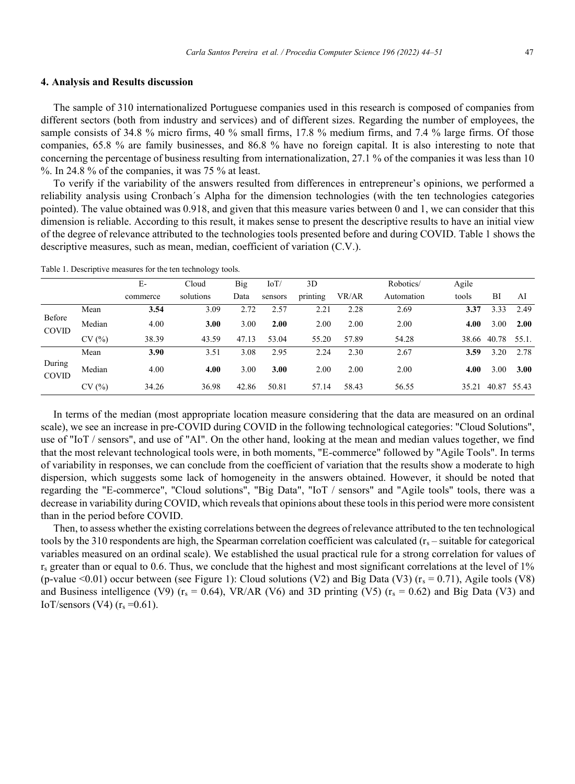#### **4. Analysis and Results discussion**

The sample of 310 internationalized Portuguese companies used in this research is composed of companies from different sectors (both from industry and services) and of different sizes. Regarding the number of employees, the sample consists of 34.8 % micro firms, 40 % small firms, 17.8 % medium firms, and 7.4 % large firms. Of those companies, 65.8 % are family businesses, and 86.8 % have no foreign capital. It is also interesting to note that concerning the percentage of business resulting from internationalization, 27.1 % of the companies it was less than 10 %. In 24.8 % of the companies, it was 75 % at least.

To verify if the variability of the answers resulted from differences in entrepreneur's opinions, we performed a reliability analysis using Cronbach´s Alpha for the dimension technologies (with the ten technologies categories pointed). The value obtained was 0.918, and given that this measure varies between 0 and 1, we can consider that this dimension is reliable. According to this result, it makes sense to present the descriptive results to have an initial view of the degree of relevance attributed to the technologies tools presented before and during COVID. Table 1 shows the descriptive measures, such as mean, median, coefficient of variation (C.V.).

|                        |        | $E-$     | Cloud     | Big   | IoT/    | 3D       |       | Robotics/  | Agile |             |       |
|------------------------|--------|----------|-----------|-------|---------|----------|-------|------------|-------|-------------|-------|
|                        |        | commerce | solutions | Data  | sensors | printing | VR/AR | Automation | tools | BI          | AI    |
| Before<br><b>COVID</b> | Mean   | 3.54     | 3.09      | 2.72  | 2.57    | 2.21     | 2.28  | 2.69       | 3.37  | 3.33        | 2.49  |
|                        | Median | 4.00     | 3.00      | 3.00  | 2.00    | 2.00     | 2.00  | 2.00       | 4.00  | 3.00        | 2.00  |
|                        | CV(%)  | 38.39    | 43.59     | 47.13 | 53.04   | 55.20    | 57.89 | 54.28      | 38.66 | 40.78       | 55.1. |
| During<br><b>COVID</b> | Mean   | 3.90     | 3.51      | 3.08  | 2.95    | 2.24     | 2.30  | 2.67       | 3.59  | 3.20        | 2.78  |
|                        | Median | 4.00     | 4.00      | 3.00  | 3.00    | 2.00     | 2.00  | 2.00       | 4.00  | 3.00        | 3.00  |
|                        | CV(%)  | 34.26    | 36.98     | 42.86 | 50.81   | 57.14    | 58.43 | 56.55      | 35.21 | 40.87 55.43 |       |

Table 1. Descriptive measures for the ten technology tools.

In terms of the median (most appropriate location measure considering that the data are measured on an ordinal scale), we see an increase in pre-COVID during COVID in the following technological categories: "Cloud Solutions", use of "IoT / sensors", and use of "AI". On the other hand, looking at the mean and median values together, we find that the most relevant technological tools were, in both moments, "E-commerce" followed by "Agile Tools". In terms of variability in responses, we can conclude from the coefficient of variation that the results show a moderate to high dispersion, which suggests some lack of homogeneity in the answers obtained. However, it should be noted that regarding the "E-commerce", "Cloud solutions", "Big Data", "IoT / sensors" and "Agile tools" tools, there was a decrease in variability during COVID, which reveals that opinions about these tools in this period were more consistent than in the period before COVID.

Then, to assess whether the existing correlations between the degrees of relevance attributed to the ten technological tools by the 310 respondents are high, the Spearman correlation coefficient was calculated  $(r_s - \text{suitable for categorical})$ variables measured on an ordinal scale). We established the usual practical rule for a strong correlation for values of  $r_s$  greater than or equal to 0.6. Thus, we conclude that the highest and most significant correlations at the level of 1% (p-value  $\leq 0.01$ ) occur between (see Figure 1): Cloud solutions (V2) and Big Data (V3) ( $r_s = 0.71$ ), Agile tools (V8) and Business intelligence (V9) ( $r_s = 0.64$ ), VR/AR (V6) and 3D printing (V5) ( $r_s = 0.62$ ) and Big Data (V3) and IoT/sensors (V4)  $(r_s = 0.61)$ .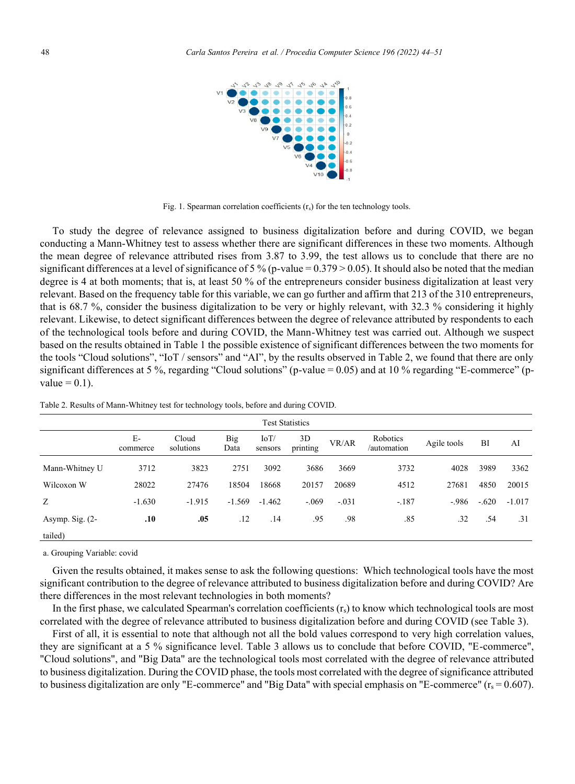

Fig. 1. Spearman correlation coefficients  $(r<sub>s</sub>)$  for the ten technology tools.

To study the degree of relevance assigned to business digitalization before and during COVID, we began conducting a Mann-Whitney test to assess whether there are significant differences in these two moments. Although the mean degree of relevance attributed rises from 3.87 to 3.99, the test allows us to conclude that there are no significant differences at a level of significance of 5 % (p-value =  $0.379 > 0.05$ ). It should also be noted that the median degree is 4 at both moments; that is, at least 50 % of the entrepreneurs consider business digitalization at least very relevant. Based on the frequency table for this variable, we can go further and affirm that 213 of the 310 entrepreneurs, that is 68.7 %, consider the business digitalization to be very or highly relevant, with 32.3 % considering it highly relevant. Likewise, to detect significant differences between the degree of relevance attributed by respondents to each of the technological tools before and during COVID, the Mann-Whitney test was carried out. Although we suspect based on the results obtained in Table 1 the possible existence of significant differences between the two moments for the tools "Cloud solutions", "IoT / sensors" and "AI", by the results observed in Table 2, we found that there are only significant differences at 5 %, regarding "Cloud solutions" (p-value = 0.05) and at 10 % regarding "E-commerce" (pvalue  $= 0.1$ ).

| <b>Test Statistics</b> |                |                    |             |                 |                |         |                         |             |         |          |  |
|------------------------|----------------|--------------------|-------------|-----------------|----------------|---------|-------------------------|-------------|---------|----------|--|
|                        | E-<br>commerce | Cloud<br>solutions | Big<br>Data | IoT/<br>sensors | 3D<br>printing | VR/AR   | Robotics<br>/automation | Agile tools | BI      | AI       |  |
| Mann-Whitney U         | 3712           | 3823               | 2751        | 3092            | 3686           | 3669    | 3732                    | 4028        | 3989    | 3362     |  |
| Wilcoxon W             | 28022          | 27476              | 18504       | 18668           | 20157          | 20689   | 4512                    | 27681       | 4850    | 20015    |  |
| Z                      | $-1.630$       | $-1.915$           | $-1.569$    | $-1.462$        | $-.069$        | $-.031$ | $-.187$                 | $-.986$     | $-.620$ | $-1.017$ |  |
| Asymp. Sig. $(2-$      | .10            | .05                | .12         | .14             | .95            | .98     | .85                     | .32         | .54     | .31      |  |
| tailed)                |                |                    |             |                 |                |         |                         |             |         |          |  |

Table 2. Results of Mann-Whitney test for technology tools, before and during COVID.

a. Grouping Variable: covid

Given the results obtained, it makes sense to ask the following questions: Which technological tools have the most significant contribution to the degree of relevance attributed to business digitalization before and during COVID? Are there differences in the most relevant technologies in both moments?

In the first phase, we calculated Spearman's correlation coefficients  $(r_s)$  to know which technological tools are most correlated with the degree of relevance attributed to business digitalization before and during COVID (see Table 3).

First of all, it is essential to note that although not all the bold values correspond to very high correlation values, they are significant at a 5 % significance level. Table 3 allows us to conclude that before COVID, "E-commerce", "Cloud solutions", and "Big Data" are the technological tools most correlated with the degree of relevance attributed to business digitalization. During the COVID phase, the tools most correlated with the degree of significance attributed to business digitalization are only "E-commerce" and "Big Data" with special emphasis on "E-commerce" ( $r_s = 0.607$ ).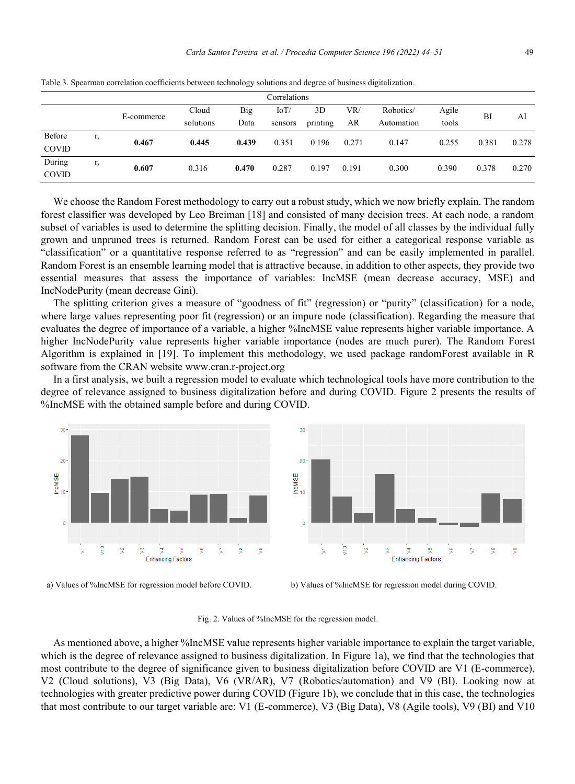| Correlations           |                               |            |           |       |         |          |       |            |       |       |       |
|------------------------|-------------------------------|------------|-----------|-------|---------|----------|-------|------------|-------|-------|-------|
|                        |                               | E-commerce | Cloud     | Big   | IoT/    | 3D       | VR/   | Robotics/  | Agile | BI    | AI    |
|                        |                               |            | solutions | Data  | sensors | printing | AR    | Automation | tools |       |       |
| Before<br><b>COVID</b> | $\bullet$<br>$\mathbf{1}_{S}$ | 0.467      | 0.445     | 0.439 | 0.351   | 0.196    | 0.271 | 0.147      | 0.255 | 0.381 | 0.278 |
| During<br><b>COVID</b> | $\bullet$<br>$\mathbf{1}_{S}$ | 0.607      | 0.316     | 0.470 | 0.287   | 0.197    | 0.191 | 0.300      | 0.390 | 0.378 | 0.270 |

Table 3. Spearman correlation coefficients between technology solutions and degree of business digitalization.

We choose the Random Forest methodology to carry out a robust study, which we now briefly explain. The random forest classifier was developed by Leo Breiman [18] and consisted of many decision trees. At each node, a random subset of variables is used to determine the splitting decision. Finally, the model of all classes by the individual fully grown and unpruned trees is returned. Random Forest can be used for either a categorical response variable as "classification" or a quantitative response referred to as "regression" and can be easily implemented in parallel. Random Forest is an ensemble learning model that is attractive because, in addition to other aspects, they provide two essential measures that assess the importance of variables: IncMSE (mean decrease accuracy, MSE) and IncNodePurity (mean decrease Gini).

The splitting criterion gives a measure of "goodness of fit" (regression) or "purity" (classification) for a node, where large values representing poor fit (regression) or an impure node (classification). Regarding the measure that evaluates the degree of importance of a variable, a higher %IncMSE value represents higher variable importance. A higher IncNodePurity value represents higher variable importance (nodes are much purer). The Random Forest Algorithm is explained in [19]. To implement this methodology, we used package randomForest available in R software from the CRAN website www.cran.r-project.org

In a first analysis, we built a regression model to evaluate which technological tools have more contribution to the degree of relevance assigned to business digitalization before and during COVID. Figure 2 presents the results of %IncMSE with the obtained sample before and during COVID.





a) Values of %IncMSE for regression model before COVID. b) Values of %IncMSE for regression model during COVID.

Fig. 2. Values of %IncMSE for the regression model.

As mentioned above, a higher %IncMSE value represents higher variable importance to explain the target variable, which is the degree of relevance assigned to business digitalization. In Figure 1a), we find that the technologies that most contribute to the degree of significance given to business digitalization before COVID are V1 (E-commerce), V2 (Cloud solutions), V3 (Big Data), V6 (VR/AR), V7 (Robotics/automation) and V9 (BI). Looking now at technologies with greater predictive power during COVID (Figure 1b), we conclude that in this case, the technologies that most contribute to our target variable are: V1 (E-commerce), V3 (Big Data), V8 (Agile tools), V9 (BI) and V10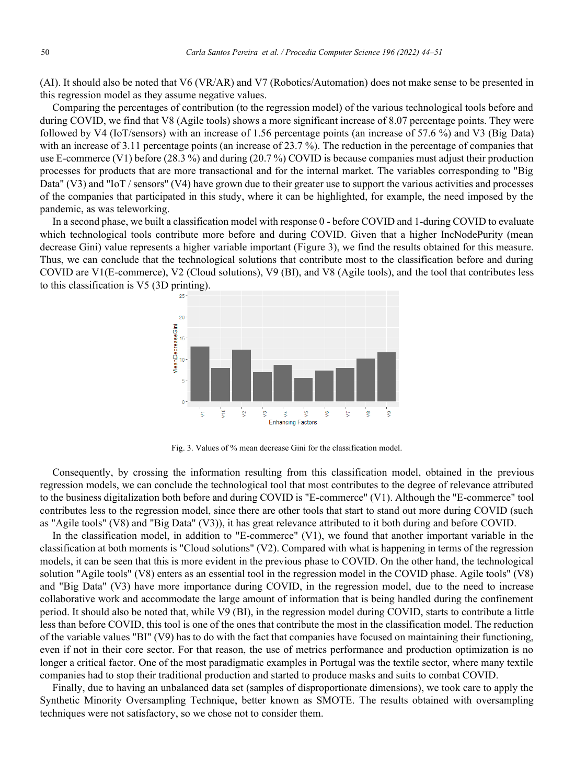(AI). It should also be noted that V6 (VR/AR) and V7 (Robotics/Automation) does not make sense to be presented in this regression model as they assume negative values.

Comparing the percentages of contribution (to the regression model) of the various technological tools before and during COVID, we find that V8 (Agile tools) shows a more significant increase of 8.07 percentage points. They were followed by V4 (IoT/sensors) with an increase of 1.56 percentage points (an increase of 57.6 %) and V3 (Big Data) with an increase of 3.11 percentage points (an increase of 23.7 %). The reduction in the percentage of companies that use E-commerce (V1) before (28.3 %) and during (20.7 %) COVID is because companies must adjust their production processes for products that are more transactional and for the internal market. The variables corresponding to "Big Data" (V3) and "IoT / sensors" (V4) have grown due to their greater use to support the various activities and processes of the companies that participated in this study, where it can be highlighted, for example, the need imposed by the pandemic, as was teleworking.

In a second phase, we built a classification model with response 0 - before COVID and 1-during COVID to evaluate which technological tools contribute more before and during COVID. Given that a higher IncNodePurity (mean decrease Gini) value represents a higher variable important (Figure 3), we find the results obtained for this measure. Thus, we can conclude that the technological solutions that contribute most to the classification before and during COVID are V1(E-commerce), V2 (Cloud solutions), V9 (BI), and V8 (Agile tools), and the tool that contributes less to this classification is V5 (3D printing).



Fig. 3. Values of % mean decrease Gini for the classification model.

Consequently, by crossing the information resulting from this classification model, obtained in the previous regression models, we can conclude the technological tool that most contributes to the degree of relevance attributed to the business digitalization both before and during COVID is "E-commerce" (V1). Although the "E-commerce" tool contributes less to the regression model, since there are other tools that start to stand out more during COVID (such as "Agile tools" (V8) and "Big Data" (V3)), it has great relevance attributed to it both during and before COVID.

In the classification model, in addition to "E-commerce" (V1), we found that another important variable in the classification at both moments is "Cloud solutions" (V2). Compared with what is happening in terms of the regression models, it can be seen that this is more evident in the previous phase to COVID. On the other hand, the technological solution "Agile tools" (V8) enters as an essential tool in the regression model in the COVID phase. Agile tools" (V8) and "Big Data" (V3) have more importance during COVID, in the regression model, due to the need to increase collaborative work and accommodate the large amount of information that is being handled during the confinement period. It should also be noted that, while V9 (BI), in the regression model during COVID, starts to contribute a little less than before COVID, this tool is one of the ones that contribute the most in the classification model. The reduction of the variable values "BI" (V9) has to do with the fact that companies have focused on maintaining their functioning, even if not in their core sector. For that reason, the use of metrics performance and production optimization is no longer a critical factor. One of the most paradigmatic examples in Portugal was the textile sector, where many textile companies had to stop their traditional production and started to produce masks and suits to combat COVID.

Finally, due to having an unbalanced data set (samples of disproportionate dimensions), we took care to apply the Synthetic Minority Oversampling Technique, better known as SMOTE. The results obtained with oversampling techniques were not satisfactory, so we chose not to consider them.